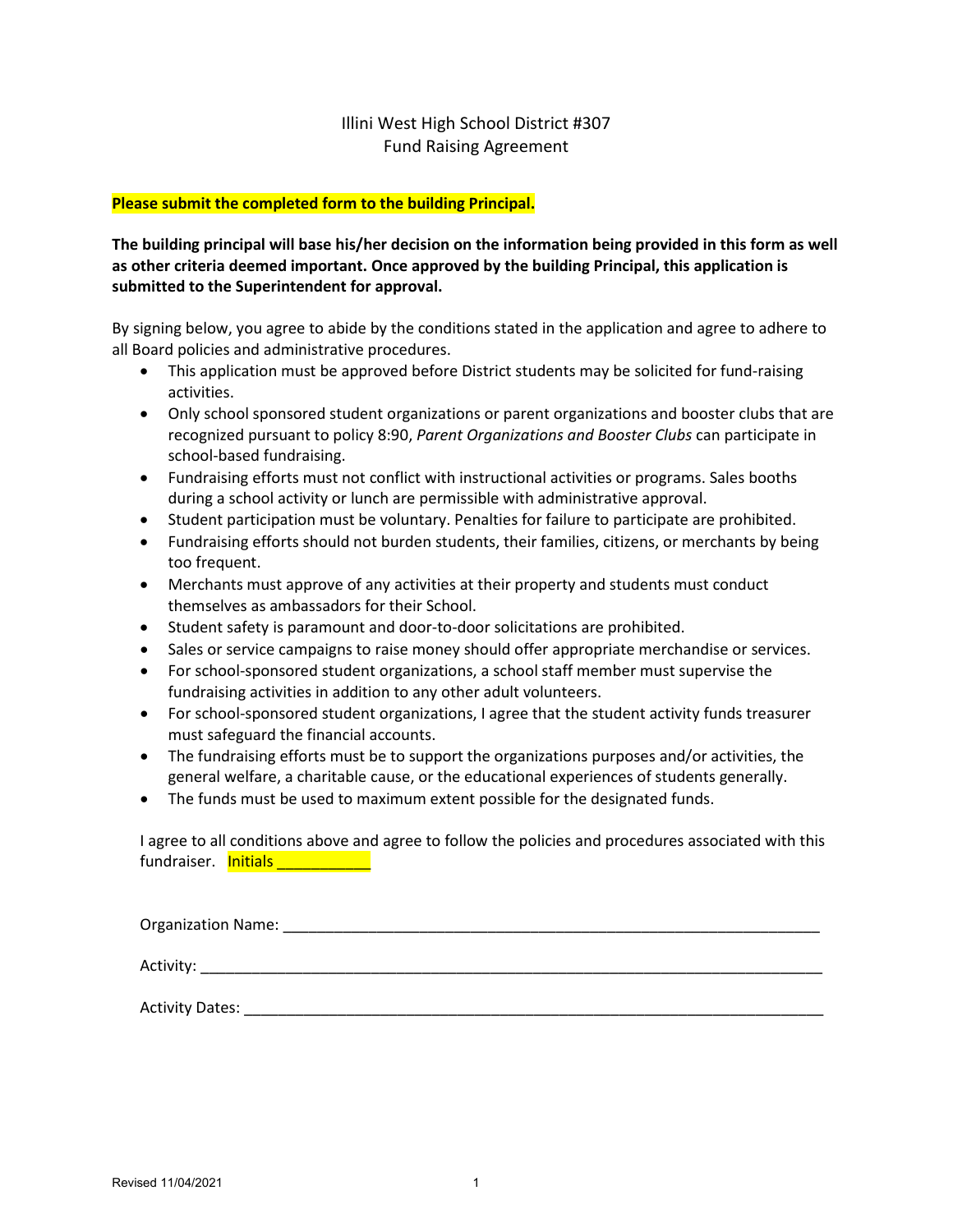## Illini West High School District #307 Fund Raising Agreement

## **Please submit the completed form to the building Principal.**

## **The building principal will base his/her decision on the information being provided in this form as well as other criteria deemed important. Once approved by the building Principal, this application is submitted to the Superintendent for approval.**

By signing below, you agree to abide by the conditions stated in the application and agree to adhere to all Board policies and administrative procedures.

- This application must be approved before District students may be solicited for fund-raising activities.
- Only school sponsored student organizations or parent organizations and booster clubs that are recognized pursuant to policy 8:90, *Parent Organizations and Booster Clubs* can participate in school-based fundraising.
- Fundraising efforts must not conflict with instructional activities or programs. Sales booths during a school activity or lunch are permissible with administrative approval.
- Student participation must be voluntary. Penalties for failure to participate are prohibited.
- Fundraising efforts should not burden students, their families, citizens, or merchants by being too frequent.
- Merchants must approve of any activities at their property and students must conduct themselves as ambassadors for their School.
- Student safety is paramount and door-to-door solicitations are prohibited.
- Sales or service campaigns to raise money should offer appropriate merchandise or services.
- For school-sponsored student organizations, a school staff member must supervise the fundraising activities in addition to any other adult volunteers.
- For school-sponsored student organizations, I agree that the student activity funds treasurer must safeguard the financial accounts.
- The fundraising efforts must be to support the organizations purposes and/or activities, the general welfare, a charitable cause, or the educational experiences of students generally.
- The funds must be used to maximum extent possible for the designated funds.

I agree to all conditions above and agree to follow the policies and procedures associated with this fundraiser. **Initials and Container** 

| Organization Name:     |  |  |
|------------------------|--|--|
|                        |  |  |
| <b>Activity Dates:</b> |  |  |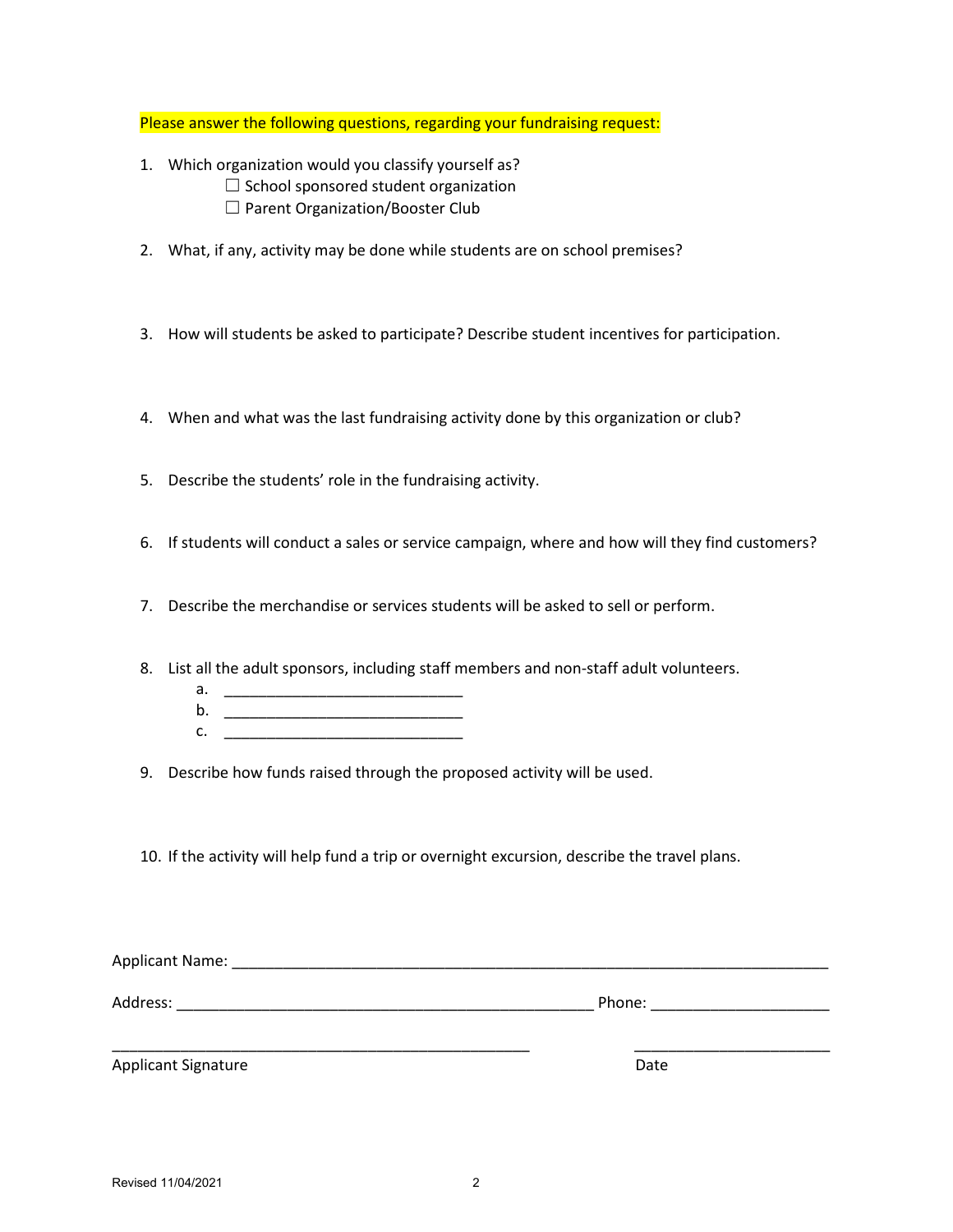Please answer the following questions, regarding your fundraising request:

- 1. Which organization would you classify yourself as?  $\Box$  School sponsored student organization □ Parent Organization/Booster Club
- 2. What, if any, activity may be done while students are on school premises?
- 3. How will students be asked to participate? Describe student incentives for participation.
- 4. When and what was the last fundraising activity done by this organization or club?
- 5. Describe the students' role in the fundraising activity.
- 6. If students will conduct a sales or service campaign, where and how will they find customers?
- 7. Describe the merchandise or services students will be asked to sell or perform.
- 8. List all the adult sponsors, including staff members and non-staff adult volunteers.
	- a. \_\_\_\_\_\_\_\_\_\_\_\_\_\_\_\_\_\_\_\_\_\_\_\_\_\_\_\_
	- b. \_\_\_\_\_\_\_\_\_\_\_\_\_\_\_\_\_\_\_\_\_\_\_\_\_\_\_\_ c. <u>\_\_\_\_\_\_\_\_\_\_\_\_\_\_\_\_\_\_\_\_\_\_\_\_\_\_\_\_\_\_\_\_\_</u>
- 9. Describe how funds raised through the proposed activity will be used.
- 10. If the activity will help fund a trip or overnight excursion, describe the travel plans.

| Applicant Name:            |        |
|----------------------------|--------|
| Address:                   | Phone: |
|                            |        |
| <b>Applicant Signature</b> | Date   |